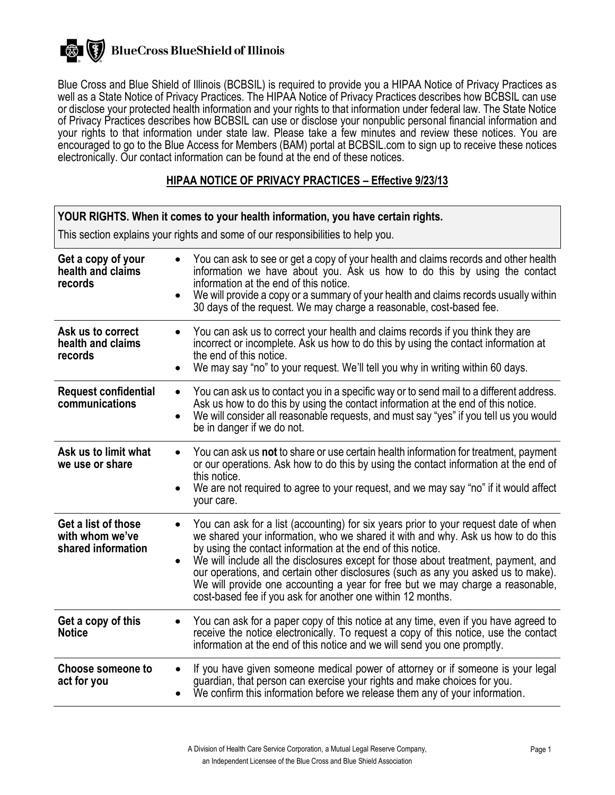### **BlueCross BlueShield of Illinois** 一衆 (【

Blue Cross and Blue Shield of Illinois (BCBSIL) is required to provide you a HIPAA Notice of Privacy Practices as well as a State Notice of Privacy Practices. The HIPAA Notice of Privacy Practices describes how BCBSIL can use or disclose your protected health information and your rights to that information under federal law. The State Notice of Privacy Practices describes how BCBSIL can use or disclose your nonpublic personal financial information and your rights to that information under state law. Please take a few minutes and review these notices. You are encouraged to go to the Blue Access for Members (BAM) portal at BCBSIL.com to sign up to receive these notices electronically. Our contact information can be found at the end of these notices.

### **HIPAA NOTICE OF PRIVACY PRACTICES – Effective 9/23/13**

| YOUR RIGHTS. When it comes to your health information, you have certain rights. |                                                                                                                                                                                                                                                                                                                                                                                                                                                                                                                                                                                               |  |  |
|---------------------------------------------------------------------------------|-----------------------------------------------------------------------------------------------------------------------------------------------------------------------------------------------------------------------------------------------------------------------------------------------------------------------------------------------------------------------------------------------------------------------------------------------------------------------------------------------------------------------------------------------------------------------------------------------|--|--|
| This section explains your rights and some of our responsibilities to help you. |                                                                                                                                                                                                                                                                                                                                                                                                                                                                                                                                                                                               |  |  |
| Get a copy of your<br>health and claims<br>records                              | You can ask to see or get a copy of your health and claims records and other health<br>information we have about you. Ask us how to do this by using the contact<br>information at the end of this notice.<br>We will provide a copy or a summary of your health and claims records usually within<br>$\bullet$<br>30 days of the request. We may charge a reasonable, cost-based fee.                                                                                                                                                                                                        |  |  |
| Ask us to correct<br>health and claims<br>records                               | You can ask us to correct your health and claims records if you think they are<br>incorrect or incomplete. Ask us how to do this by using the contact information at<br>the end of this notice.<br>We may say "no" to your request. We'll tell you why in writing within 60 days.<br>$\bullet$                                                                                                                                                                                                                                                                                                |  |  |
| <b>Request confidential</b><br>communications                                   | You can ask us to contact you in a specific way or to send mail to a different address.<br>$\bullet$<br>Ask us how to do this by using the contact information at the end of this notice.<br>We will consider all reasonable requests, and must say "yes" if you tell us you would<br>$\bullet$<br>be in danger if we do not.                                                                                                                                                                                                                                                                 |  |  |
| Ask us to limit what<br>we use or share                                         | You can ask us not to share or use certain health information for treatment, payment<br>$\bullet$<br>or our operations. Ask how to do this by using the contact information at the end of<br>this notice.<br>We are not required to agree to your request, and we may say "no" if it would affect<br>your care.                                                                                                                                                                                                                                                                               |  |  |
| Get a list of those<br>with whom we've<br>shared information                    | You can ask for a list (accounting) for six years prior to your request date of when<br>$\bullet$<br>we shared your information, who we shared it with and why. Ask us how to do this<br>by using the contact information at the end of this notice.<br>We will include all the disclosures except for those about treatment, payment, and<br>$\bullet$<br>our operations, and certain other disclosures (such as any you asked us to make).<br>We will provide one accounting a year for free but we may charge a reasonable,<br>cost-based fee if you ask for another one within 12 months. |  |  |
| Get a copy of this<br><b>Notice</b>                                             | You can ask for a paper copy of this notice at any time, even if you have agreed to<br>receive the notice electronically. To request a copy of this notice, use the contact<br>information at the end of this notice and we will send you one promptly.                                                                                                                                                                                                                                                                                                                                       |  |  |
| <b>Choose someone to</b><br>act for you                                         | If you have given someone medical power of attorney or if someone is your legal<br>$\bullet$<br>guardian, that person can exercise your rights and make choices for you.<br>We confirm this information before we release them any of your information.                                                                                                                                                                                                                                                                                                                                       |  |  |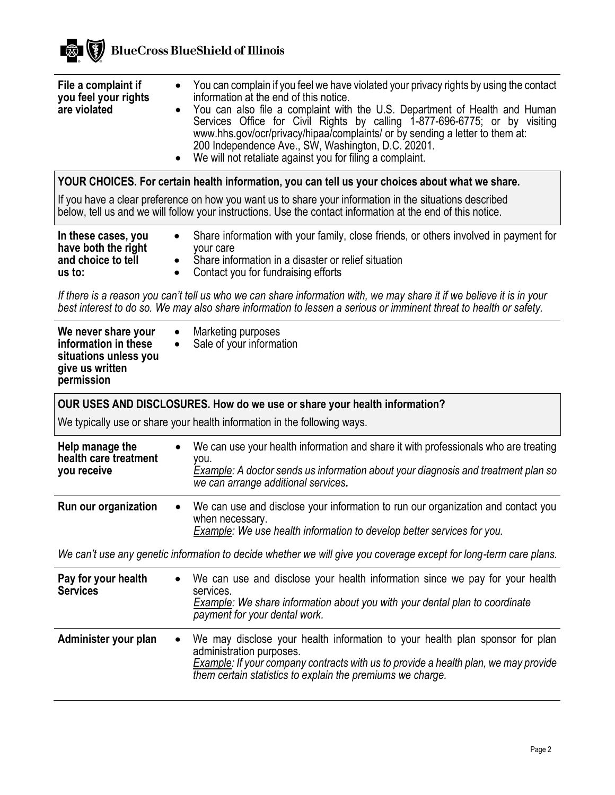

| File a complaint if<br>$\bullet$<br>you feel your rights<br>are violated<br>$\bullet$<br>$\bullet$                                                                                                                                         | You can complain if you feel we have violated your privacy rights by using the contact<br>information at the end of this notice.<br>You can also file a complaint with the U.S. Department of Health and Human<br>Services Office for Civil Rights by calling 1-877-696-6775; or by visiting<br>www.hhs.gov/ocr/privacy/hipaa/complaints/ or by sending a letter to them at:<br>200 Independence Ave., SW, Washington, D.C. 20201.<br>We will not retaliate against you for filing a complaint. |  |  |  |
|--------------------------------------------------------------------------------------------------------------------------------------------------------------------------------------------------------------------------------------------|-------------------------------------------------------------------------------------------------------------------------------------------------------------------------------------------------------------------------------------------------------------------------------------------------------------------------------------------------------------------------------------------------------------------------------------------------------------------------------------------------|--|--|--|
| YOUR CHOICES. For certain health information, you can tell us your choices about what we share.                                                                                                                                            |                                                                                                                                                                                                                                                                                                                                                                                                                                                                                                 |  |  |  |
| If you have a clear preference on how you want us to share your information in the situations described<br>below, tell us and we will follow your instructions. Use the contact information at the end of this notice.                     |                                                                                                                                                                                                                                                                                                                                                                                                                                                                                                 |  |  |  |
| In these cases, you<br>$\bullet$<br>have both the right<br>and choice to tell<br>$\bullet$<br>us to:<br>$\bullet$                                                                                                                          | Share information with your family, close friends, or others involved in payment for<br>your care<br>Share information in a disaster or relief situation<br>Contact you for fundraising efforts                                                                                                                                                                                                                                                                                                 |  |  |  |
| If there is a reason you can't tell us who we can share information with, we may share it if we believe it is in your<br>best interest to do so. We may also share information to lessen a serious or imminent threat to health or safety. |                                                                                                                                                                                                                                                                                                                                                                                                                                                                                                 |  |  |  |
| We never share your<br>$\bullet$<br>information in these<br>$\bullet$<br>situations unless you<br>give us written<br>permission                                                                                                            | Marketing purposes<br>Sale of your information                                                                                                                                                                                                                                                                                                                                                                                                                                                  |  |  |  |
| OUR USES AND DISCLOSURES. How do we use or share your health information?                                                                                                                                                                  |                                                                                                                                                                                                                                                                                                                                                                                                                                                                                                 |  |  |  |
| We typically use or share your health information in the following ways.                                                                                                                                                                   |                                                                                                                                                                                                                                                                                                                                                                                                                                                                                                 |  |  |  |
| Help manage the<br>$\bullet$<br>health care treatment<br>you receive                                                                                                                                                                       | We can use your health information and share it with professionals who are treating<br>you.<br>Example: A doctor sends us information about your diagnosis and treatment plan so<br>we can arrange additional services.                                                                                                                                                                                                                                                                         |  |  |  |
| Run our organization                                                                                                                                                                                                                       | We can use and disclose your information to run our organization and contact you<br>when necessary.<br>Example: We use health information to develop better services for you.                                                                                                                                                                                                                                                                                                                   |  |  |  |
| We can't use any genetic information to decide whether we will give you coverage except for long-term care plans.                                                                                                                          |                                                                                                                                                                                                                                                                                                                                                                                                                                                                                                 |  |  |  |
| Pay for your health<br>$\bullet$<br><b>Services</b>                                                                                                                                                                                        | We can use and disclose your health information since we pay for your health<br>services.<br><b>Example:</b> We share information about you with your dental plan to coordinate<br>payment for your dental work.                                                                                                                                                                                                                                                                                |  |  |  |
| Administer your plan<br>$\bullet$                                                                                                                                                                                                          | We may disclose your health information to your health plan sponsor for plan<br>administration purposes.<br>Example: If your company contracts with us to provide a health plan, we may provide<br>them certain statistics to explain the premiums we charge.                                                                                                                                                                                                                                   |  |  |  |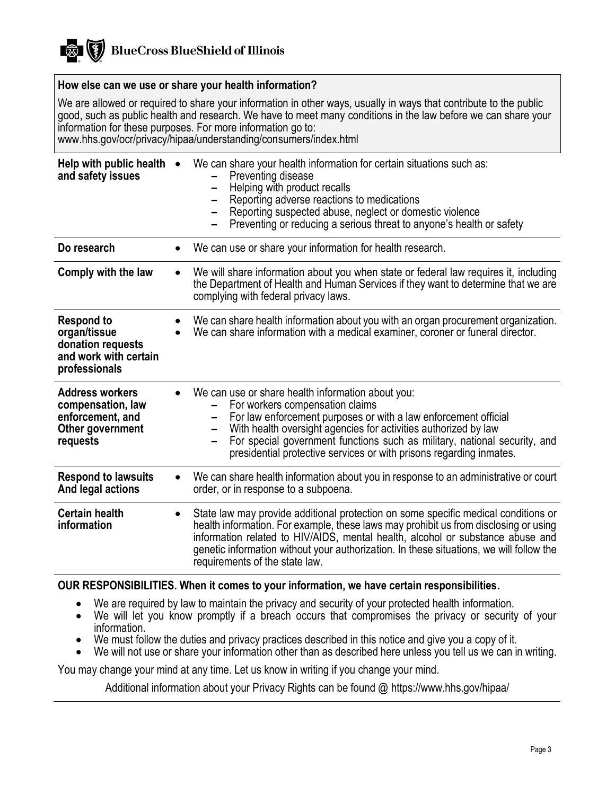#### **How else can we use or share your health information?**

We are allowed or required to share your information in other ways, usually in ways that contribute to the public good, such as public health and research. We have to meet many conditions in the law before we can share your information for these purposes. For more information go to: www.hhs.gov/ocr/privacy/hipaa/understanding/consumers/index.html

| Help with public health •<br>and safety issues                                                   |           | We can share your health information for certain situations such as:<br>Preventing disease<br>Helping with product recalls<br>Reporting adverse reactions to medications<br>Reporting suspected abuse, neglect or domestic violence<br>Preventing or reducing a serious threat to anyone's health or safety                                                                               |  |
|--------------------------------------------------------------------------------------------------|-----------|-------------------------------------------------------------------------------------------------------------------------------------------------------------------------------------------------------------------------------------------------------------------------------------------------------------------------------------------------------------------------------------------|--|
| Do research                                                                                      |           | We can use or share your information for health research.                                                                                                                                                                                                                                                                                                                                 |  |
| Comply with the law                                                                              | $\bullet$ | We will share information about you when state or federal law requires it, including<br>the Department of Health and Human Services if they want to determine that we are<br>complying with federal privacy laws.                                                                                                                                                                         |  |
| <b>Respond to</b><br>organ/tissue<br>donation requests<br>and work with certain<br>professionals |           | We can share health information about you with an organ procurement organization.<br>We can share information with a medical examiner, coroner or funeral director.                                                                                                                                                                                                                       |  |
| <b>Address workers</b><br>compensation, law<br>enforcement, and<br>Other government<br>requests  |           | We can use or share health information about you:<br>For workers compensation claims<br>For law enforcement purposes or with a law enforcement official<br>With health oversight agencies for activities authorized by law<br>For special government functions such as military, national security, and<br>presidential protective services or with prisons regarding inmates.            |  |
| <b>Respond to lawsuits</b><br>And legal actions                                                  | $\bullet$ | We can share health information about you in response to an administrative or court<br>order, or in response to a subpoena.                                                                                                                                                                                                                                                               |  |
| <b>Certain health</b><br>information                                                             | $\bullet$ | State law may provide additional protection on some specific medical conditions or<br>health information. For example, these laws may prohibit us from disclosing or using<br>information related to HIV/AIDS, mental health, alcohol or substance abuse and<br>genetic information without your authorization. In these situations, we will follow the<br>requirements of the state law. |  |
| OUR RESPONSIBILITIES. When it comes to your information, we have certain responsibilities.       |           |                                                                                                                                                                                                                                                                                                                                                                                           |  |

- We are required by law to maintain the privacy and security of your protected health information.
- We will let you know promptly if a breach occurs that compromises the privacy or security of your information.
- We must follow the duties and privacy practices described in this notice and give you a copy of it.
- We will not use or share your information other than as described here unless you tell us we can in writing.

You may change your mind at any time. Let us know in writing if you change your mind.

Additional information about your Privacy Rights can be found @ https://www.hhs.gov/hipaa/